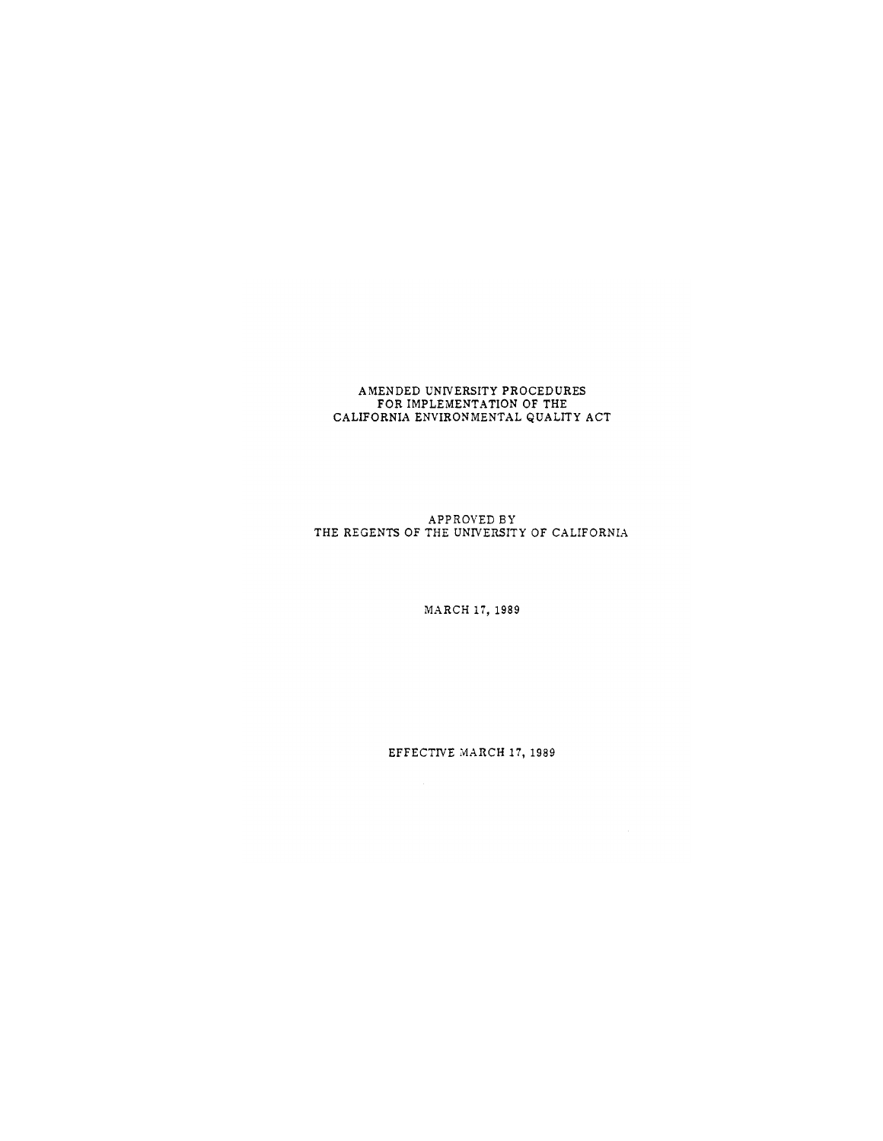## AMENDED UNIVERSITY PROCEDURES<br>FOR IMPLEMENTATION OF THE<br>CALIFORNIA ENVIRONMENTAL QUALITY ACT

 ${\small \bf APPROVED BY}\\{\small \bf THE REGENTS OF THE UNVERSE OF CALIFORNIA \end{small} }$ 

MARCH 17, 1989

EFFECTIVE MARCH 17, 1989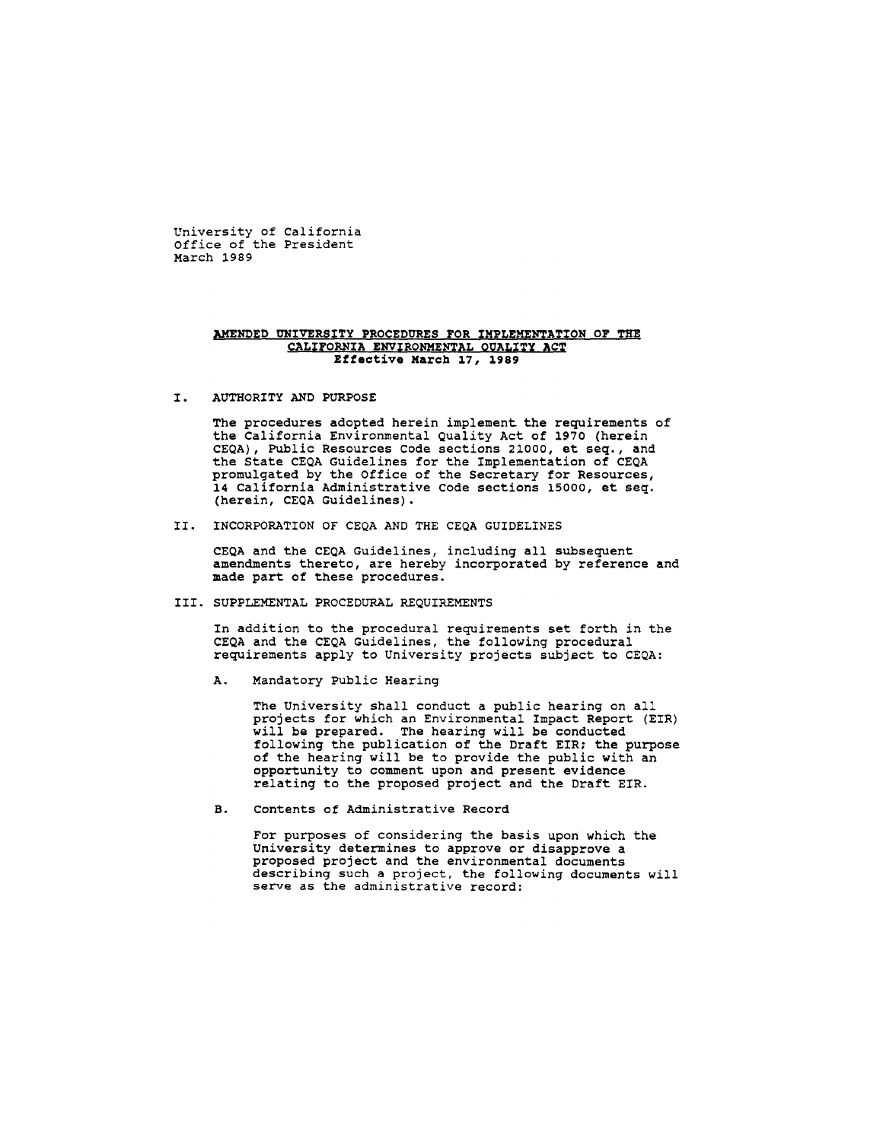University of California Office of the President March 1989

## AMENDED UNIVERSITY PROCEDURES FOR IMPLEMENTATION OF THE CALIFORNIA ENVIRONMENTAL QUALITY ACT Effective March 17, 1989

AUTHORITY AND PURPOSE  $T_{\perp}$ 

> The procedures adopted herein implement the requirements of the California Environmental Quality Act of 1970 (herein CEQA), Public Resources Code sections 21000, et seq., and the State CEQA Guidelines for the Implementation of CEQA promulgated by the Office of the Secretary for Resources, 14 California Administrative Code sections 15000, et seq. (herein, CEQA Guidelines).

II. INCORPORATION OF CEQA AND THE CEQA GUIDELINES

CEQA and the CEQA Guidelines, including all subsequent amendments thereto, are hereby incorporated by reference and made part of these procedures.

## III. SUPPLEMENTAL PROCEDURAL REQUIREMENTS

In addition to the procedural requirements set forth in the CEQA and the CEQA Guidelines, the following procedural requirements apply to University projects subject to CEQA:

A. Mandatory Public Hearing

> The University shall conduct a public hearing on all projects for which an Environmental Impact Report (EIR) will be prepared. The hearing will be conducted following the publication of the Draft EIR; the purpose of the hearing will be to provide the public with an opportunity to comment upon and present evidence relating to the proposed project and the Draft EIR.

 $B<sub>1</sub>$ Contents of Administrative Record

> For purposes of considering the basis upon which the University determines to approve or disapprove a proposed project and the environmental documents describing such a project, the following documents will serve as the administrative record: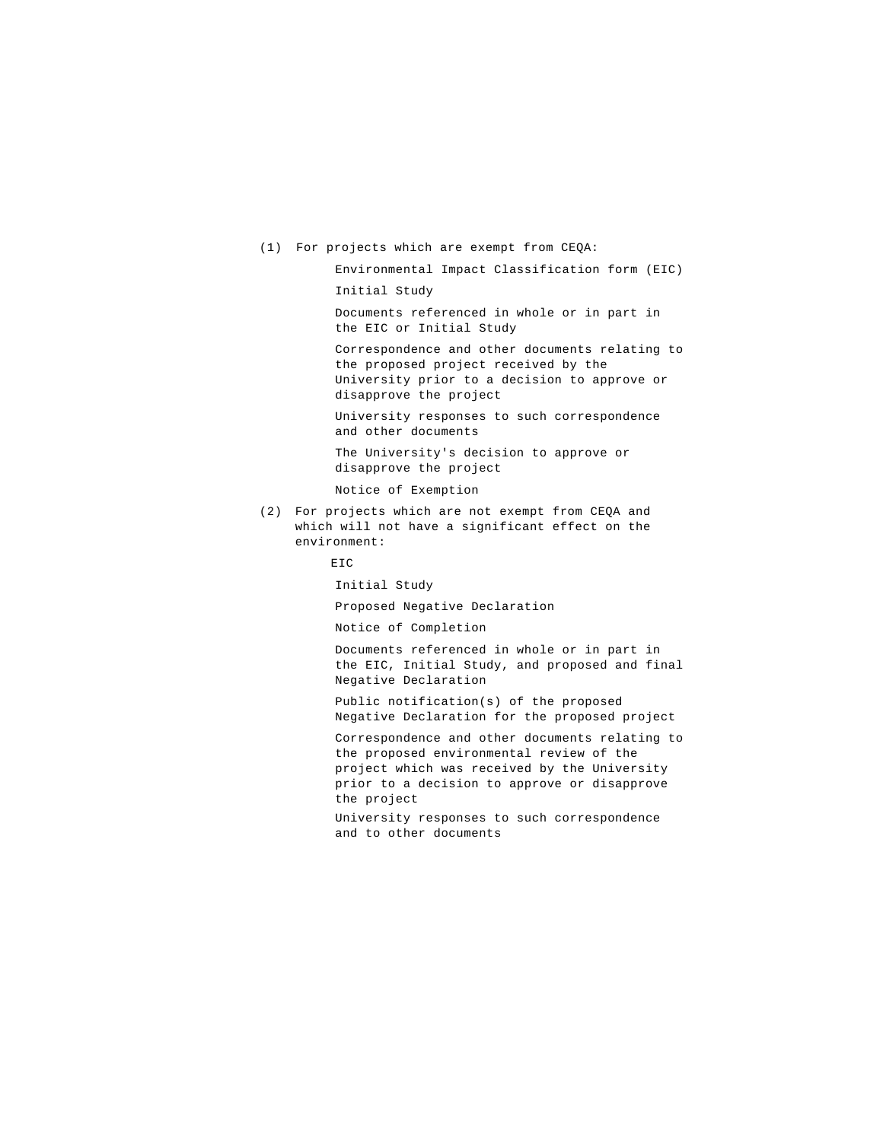(1) For projects which are exempt from CEQA:

Environmental Impact Classification form (EIC)

Initial Study

Documents referenced in whole or in part in the EIC or Initial Study

Correspondence and other documents relating to the proposed project received by the University prior to a decision to approve or disapprove the project

University responses to such correspondence and other documents

The University's decision to approve or disapprove the project

Notice of Exemption

(2) For projects which are not exempt from CEQA and which will not have a significant effect on the environment:

**EIC** 

Initial Study

Proposed Negative Declaration

Notice of Completion

Documents referenced in whole or in part in the EIC, Initial Study, and proposed and final Negative Declaration

Public notification(s) of the proposed Negative Declaration for the proposed project

Correspondence and other documents relating to the proposed environmental review of the project which was received by the University prior to a decision to approve or disapprove the project

University responses to such correspondence and to other documents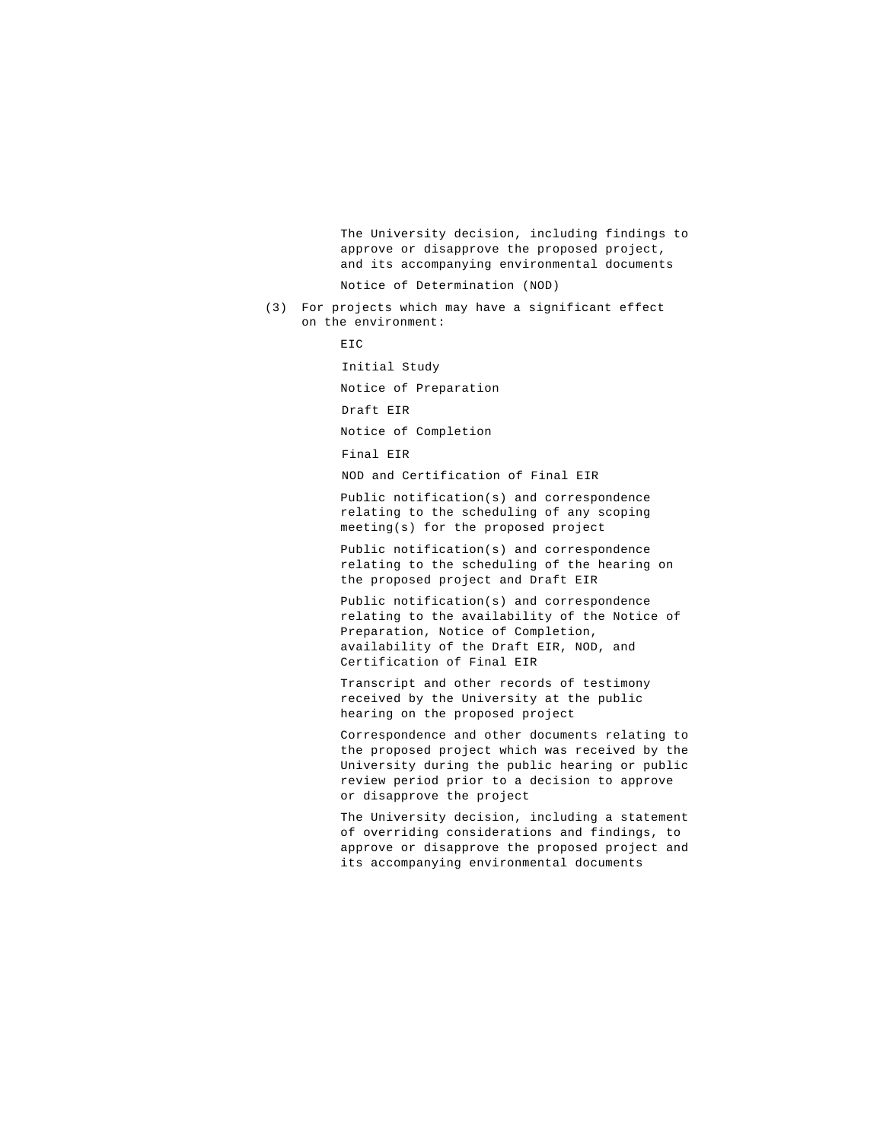The University decision, including findings to approve or disapprove the proposed project, and its accompanying environmental documents

Notice of Determination (NOD)

(3) For projects which may have a significant effect on the environment:

```
EIC
```
Initial Study

Notice of Preparation

Draft EIR

Notice of Completion

Final EIR

NOD and Certification of Final EIR

Public notification(s) and correspondence relating to the scheduling of any scoping meeting(s) for the proposed project

Public notification(s) and correspondence relating to the scheduling of the hearing on the proposed project and Draft EIR

Public notification(s) and correspondence relating to the availability of the Notice of Preparation, Notice of Completion, availability of the Draft EIR, NOD, and Certification of Final EIR

Transcript and other records of testimony received by the University at the public hearing on the proposed project

Correspondence and other documents relating to the proposed project which was received by the University during the public hearing or public review period prior to a decision to approve or disapprove the project

The University decision, including a statement of overriding considerations and findings, to approve or disapprove the proposed project and its accompanying environmental documents